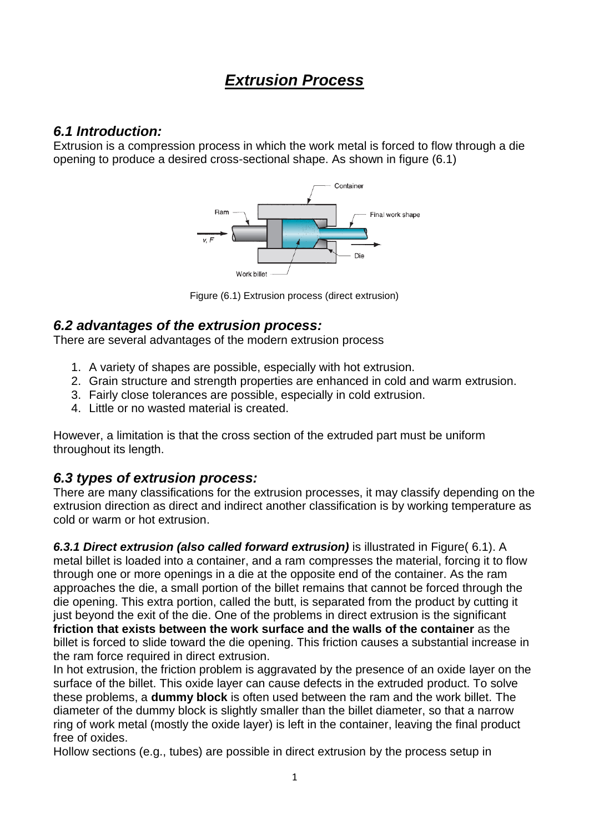# *Extrusion Process*

### *6.1 Introduction:*

Extrusion is a compression process in which the work metal is forced to flow through a die opening to produce a desired cross-sectional shape. As shown in figure (6.1)



Figure (6.1) Extrusion process (direct extrusion)

### *6.2 advantages of the extrusion process:*

There are several advantages of the modern extrusion process

- 1. A variety of shapes are possible, especially with hot extrusion.
- 2. Grain structure and strength properties are enhanced in cold and warm extrusion.
- 3. Fairly close tolerances are possible, especially in cold extrusion.
- 4. Little or no wasted material is created.

However, a limitation is that the cross section of the extruded part must be uniform throughout its length.

## *6.3 types of extrusion process:*

There are many classifications for the extrusion processes, it may classify depending on the extrusion direction as direct and indirect another classification is by working temperature as cold or warm or hot extrusion.

*6.3.1 Direct extrusion (also called forward extrusion)* is illustrated in Figure( 6.1). A metal billet is loaded into a container, and a ram compresses the material, forcing it to flow through one or more openings in a die at the opposite end of the container. As the ram approaches the die, a small portion of the billet remains that cannot be forced through the die opening. This extra portion, called the butt, is separated from the product by cutting it just beyond the exit of the die. One of the problems in direct extrusion is the significant **friction that exists between the work surface and the walls of the container** as the billet is forced to slide toward the die opening. This friction causes a substantial increase in the ram force required in direct extrusion.

In hot extrusion, the friction problem is aggravated by the presence of an oxide layer on the surface of the billet. This oxide layer can cause defects in the extruded product. To solve these problems, a **dummy block** is often used between the ram and the work billet. The diameter of the dummy block is slightly smaller than the billet diameter, so that a narrow ring of work metal (mostly the oxide layer) is left in the container, leaving the final product free of oxides.

Hollow sections (e.g., tubes) are possible in direct extrusion by the process setup in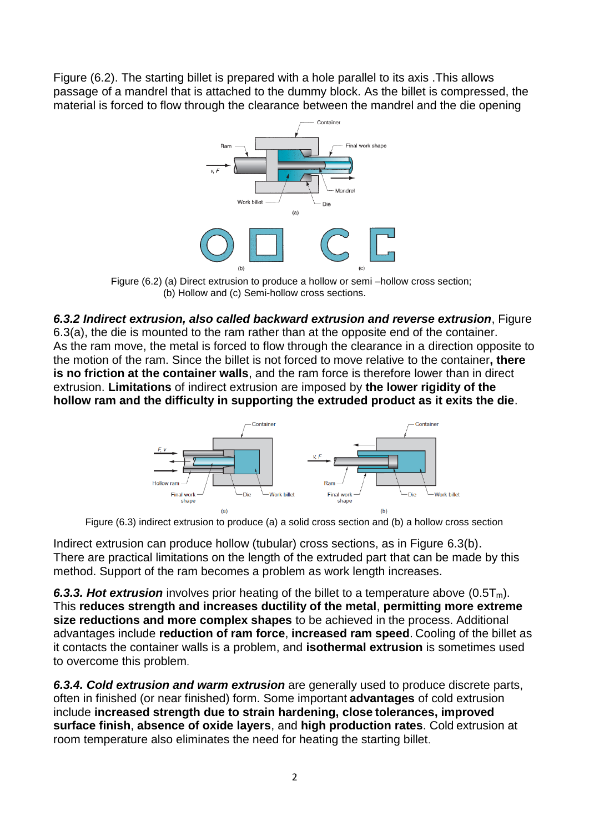Figure (6.2). The starting billet is prepared with a hole parallel to its axis .This allows passage of a mandrel that is attached to the dummy block. As the billet is compressed, the material is forced to flow through the clearance between the mandrel and the die opening



 Figure (6.2) (a) Direct extrusion to produce a hollow or semi –hollow cross section; (b) Hollow and (c) Semi-hollow cross sections.

*6.3.2 Indirect extrusion, also called backward extrusion and reverse extrusion*, Figure 6.3(a), the die is mounted to the ram rather than at the opposite end of the container. As the ram move, the metal is forced to flow through the clearance in a direction opposite to the motion of the ram. Since the billet is not forced to move relative to the container**, there is no friction at the container walls**, and the ram force is therefore lower than in direct extrusion. **Limitations** of indirect extrusion are imposed by **the lower rigidity of the hollow ram and the difficulty in supporting the extruded product as it exits the die**.



Figure (6.3) indirect extrusion to produce (a) a solid cross section and (b) a hollow cross section

Indirect extrusion can produce hollow (tubular) cross sections, as in Figure 6.3(b). There are practical limitations on the length of the extruded part that can be made by this method. Support of the ram becomes a problem as work length increases.

**6.3.3. Hot extrusion** involves prior heating of the billet to a temperature above (0.5T<sub>m</sub>). This **reduces strength and increases ductility of the metal**, **permitting more extreme size reductions and more complex shapes** to be achieved in the process. Additional advantages include **reduction of ram force**, **increased ram speed**. Cooling of the billet as it contacts the container walls is a problem, and **isothermal extrusion** is sometimes used to overcome this problem.

*6.3.4. Cold extrusion and warm extrusion* are generally used to produce discrete parts, often in finished (or near finished) form. Some important **advantages** of cold extrusion include **increased strength due to strain hardening, close tolerances, improved surface finish**, **absence of oxide layers**, and **high production rates**. Cold extrusion at room temperature also eliminates the need for heating the starting billet.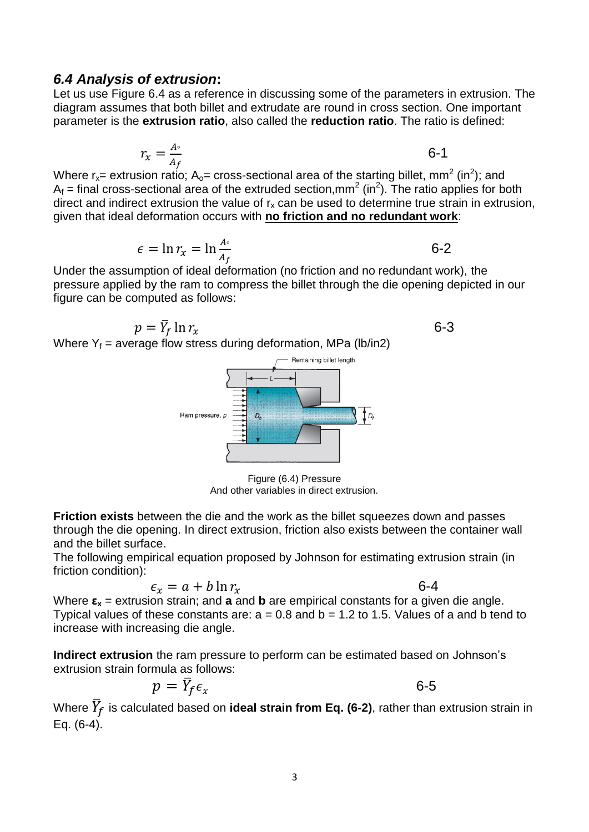#### *6.4 Analysis of extrusion***:**

Let us use Figure 6.4 as a reference in discussing some of the parameters in extrusion. The diagram assumes that both billet and extrudate are round in cross section. One important parameter is the **extrusion ratio**, also called the **reduction ratio**. The ratio is defined:

$$
r_x = \frac{A}{A_f} \tag{6-1}
$$

Where  $r_x$ = extrusion ratio; A<sub>o</sub>= cross-sectional area of the starting billet, mm<sup>2</sup> (in<sup>2</sup>); and  $A_f$  = final cross-sectional area of the extruded section, mm<sup>2</sup> (in<sup>2</sup>). The ratio applies for both direct and indirect extrusion the value of  $r<sub>x</sub>$  can be used to determine true strain in extrusion, given that ideal deformation occurs with **no friction and no redundant work**:

$$
\epsilon = \ln r_x = \ln \frac{A}{A_f} \tag{6-2}
$$

Under the assumption of ideal deformation (no friction and no redundant work), the pressure applied by the ram to compress the billet through the die opening depicted in our figure can be computed as follows:

$$
p = \bar{Y}_f \ln r_x \tag{6-3}
$$

Where  $Y_f$  = average flow stress during deformation, MPa (lb/in2)



Figure (6.4) Pressure And other variables in direct extrusion.

**Friction exists** between the die and the work as the billet squeezes down and passes through the die opening. In direct extrusion, friction also exists between the container wall and the billet surface.

The following empirical equation proposed by Johnson for estimating extrusion strain (in friction condition):

$$
\epsilon_x = a + b \ln r_x \tag{6-4}
$$

Where  $\epsilon_x$  = extrusion strain; and **a** and **b** are empirical constants for a given die angle. Typical values of these constants are:  $a = 0.8$  and  $b = 1.2$  to 1.5. Values of a and b tend to increase with increasing die angle.

**Indirect extrusion** the ram pressure to perform can be estimated based on Johnson's extrusion strain formula as follows:

$$
p = \bar{Y}_f \epsilon_x \tag{6-5}
$$

Where  $Y_f$  is calculated based on **ideal strain from Eq. (6-2)**, rather than extrusion strain in Eq. (6-4).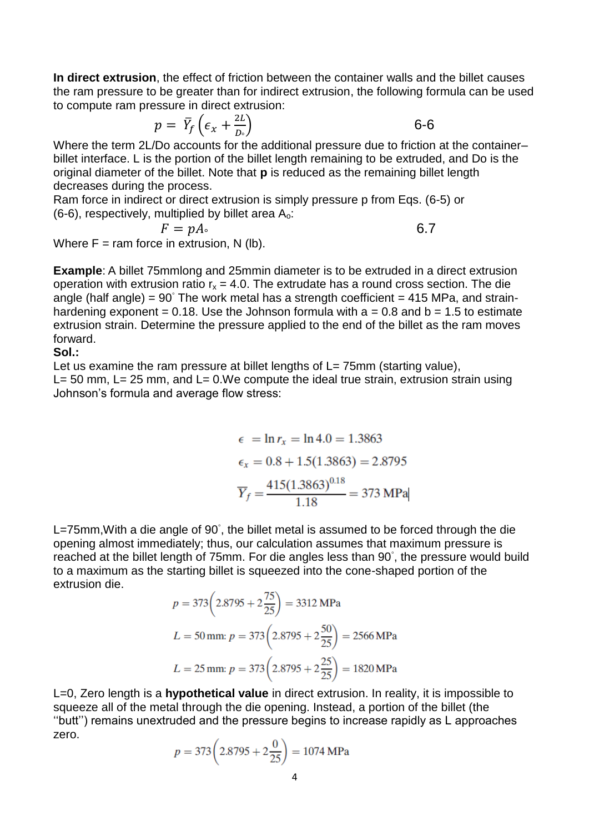**In direct extrusion**, the effect of friction between the container walls and the billet causes the ram pressure to be greater than for indirect extrusion, the following formula can be used to compute ram pressure in direct extrusion:

$$
p = \bar{Y}_f \left( \epsilon_x + \frac{2L}{D_0} \right)
$$

6-6

Where the term 2L/Do accounts for the additional pressure due to friction at the container– billet interface. L is the portion of the billet length remaining to be extruded, and Do is the original diameter of the billet. Note that **p** is reduced as the remaining billet length decreases during the process.

Ram force in indirect or direct extrusion is simply pressure p from Eqs. (6-5) or (6-6), respectively, multiplied by billet area  $A_0$ :

$$
F = pA.
$$

Where  $F = \text{ram force}$  in extrusion, N (lb).

**Example**: A billet 75mmlong and 25mmin diameter is to be extruded in a direct extrusion operation with extrusion ratio  $r_x = 4.0$ . The extrudate has a round cross section. The die angle (half angle) =  $90°$  The work metal has a strength coefficient = 415 MPa, and strainhardening exponent = 0.18. Use the Johnson formula with  $a = 0.8$  and  $b = 1.5$  to estimate extrusion strain. Determine the pressure applied to the end of the billet as the ram moves forward.

**Sol.:**

Let us examine the ram pressure at billet lengths of  $L = 75$ mm (starting value), L= 50 mm, L= 25 mm, and L= 0.We compute the ideal true strain, extrusion strain using Johnson's formula and average flow stress:

$$
\epsilon = \ln r_x = \ln 4.0 = 1.3863
$$

$$
\epsilon_x = 0.8 + 1.5(1.3863) = 2.8795
$$

$$
\overline{Y}_f = \frac{415(1.3863)^{0.18}}{1.18} = 373 \text{ MPa}
$$

L=75mm, With a die angle of 90°, the billet metal is assumed to be forced through the die opening almost immediately; thus, our calculation assumes that maximum pressure is reached at the billet length of 75mm. For die angles less than 90◦ , the pressure would build to a maximum as the starting billet is squeezed into the cone-shaped portion of the extrusion die.

$$
p = 373 \left( 2.8795 + 2 \frac{75}{25} \right) = 3312 \text{ MPa}
$$
  
\n
$$
L = 50 \text{ mm: } p = 373 \left( 2.8795 + 2 \frac{50}{25} \right) = 2566 \text{ MPa}
$$
  
\n
$$
L = 25 \text{ mm: } p = 373 \left( 2.8795 + 2 \frac{25}{25} \right) = 1820 \text{ MPa}
$$

L=0, Zero length is a **hypothetical value** in direct extrusion. In reality, it is impossible to squeeze all of the metal through the die opening. Instead, a portion of the billet (the ''butt'') remains unextruded and the pressure begins to increase rapidly as L approaches zero.

$$
p = 373 \left( 2.8795 + 2 \frac{0}{25} \right) = 1074 \text{ MPa}
$$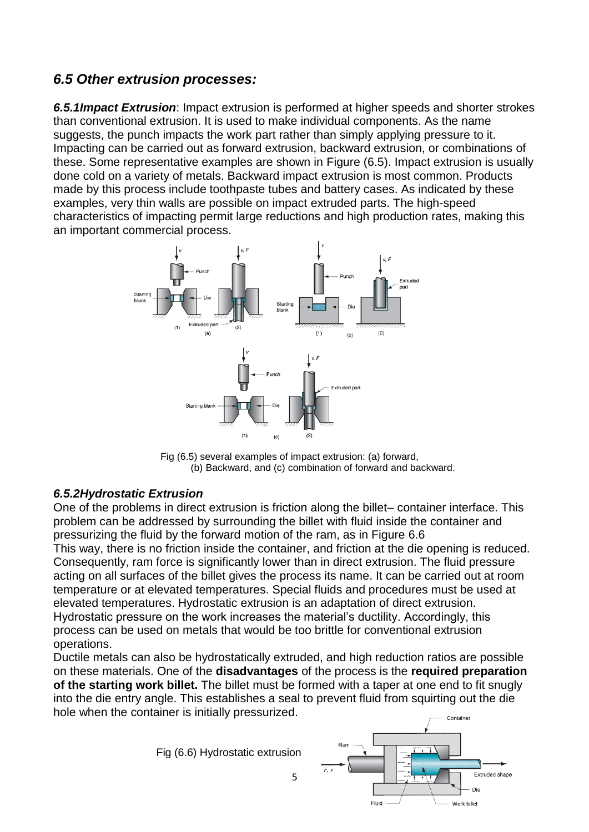### *6.5 Other extrusion processes:*

*6.5.1Impact Extrusion*: Impact extrusion is performed at higher speeds and shorter strokes than conventional extrusion. It is used to make individual components. As the name suggests, the punch impacts the work part rather than simply applying pressure to it. Impacting can be carried out as forward extrusion, backward extrusion, or combinations of these. Some representative examples are shown in Figure (6.5). Impact extrusion is usually done cold on a variety of metals. Backward impact extrusion is most common. Products made by this process include toothpaste tubes and battery cases. As indicated by these examples, very thin walls are possible on impact extruded parts. The high-speed characteristics of impacting permit large reductions and high production rates, making this an important commercial process.



 Fig (6.5) several examples of impact extrusion: (a) forward, (b) Backward, and (c) combination of forward and backward.

#### *6.5.2Hydrostatic Extrusion*

One of the problems in direct extrusion is friction along the billet– container interface. This problem can be addressed by surrounding the billet with fluid inside the container and pressurizing the fluid by the forward motion of the ram, as in Figure 6.6 This way, there is no friction inside the container, and friction at the die opening is reduced. Consequently, ram force is significantly lower than in direct extrusion. The fluid pressure acting on all surfaces of the billet gives the process its name. It can be carried out at room temperature or at elevated temperatures. Special fluids and procedures must be used at elevated temperatures. Hydrostatic extrusion is an adaptation of direct extrusion. Hydrostatic pressure on the work increases the material's ductility. Accordingly, this process can be used on metals that would be too brittle for conventional extrusion operations.

Ductile metals can also be hydrostatically extruded, and high reduction ratios are possible on these materials. One of the **disadvantages** of the process is the **required preparation of the starting work billet.** The billet must be formed with a taper at one end to fit snugly into the die entry angle. This establishes a seal to prevent fluid from squirting out the die hole when the container is initially pressurized.

Fig (6.6) Hydrostatic extrusion